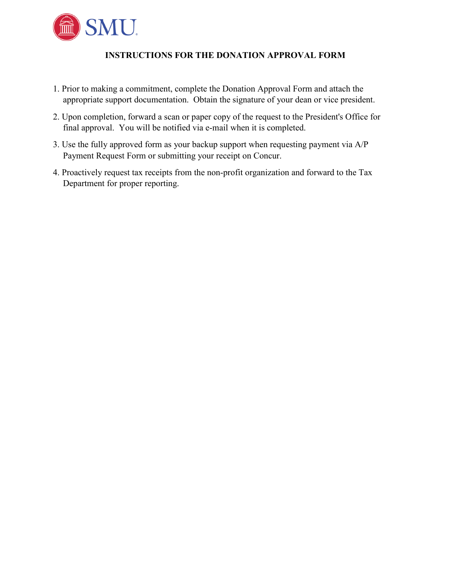

## **INSTRUCTIONS FOR THE DONATION APPROVAL FORM**

- 1. Prior to making a commitment, complete the Donation Approval Form and attach the appropriate support documentation. Obtain the signature of your dean or vice president.
- 2. Upon completion, forward a scan or paper copy of the request to the President's Office for final approval. You will be notified via e-mail when it is completed.
- 3. Use the fully approved form as your backup support when requesting payment via A/P Payment Request Form or submitting your receipt on Concur.
- 4. Proactively request tax receipts from the non-profit organization and forward to the Tax Department for proper reporting.